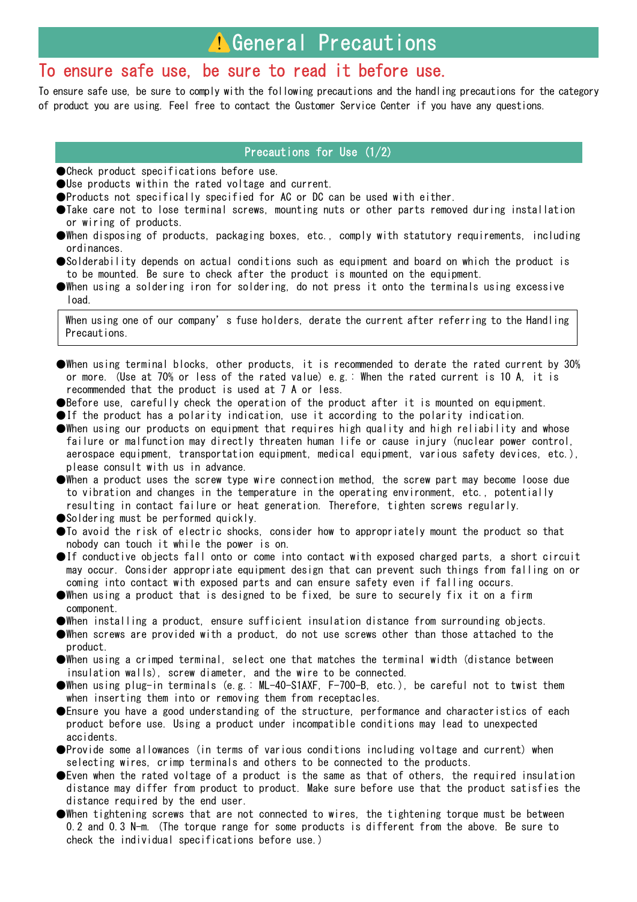## To ensure safe use, be sure to read it before use.

To ensure safe use, be sure to comply with the following precautions and the handling precautions for the category of product you are using. Feel free to contact the Customer Service Center if you have any questions.

## Precautions for Use (1/2)

- ●Check product specifications before use.
- ●Use products within the rated voltage and current.
- ●Products not specifically specified for AC or DC can be used with either.
- ●Take care not to lose terminal screws, mounting nuts or other parts removed during installation or wiring of products.
- ●When disposing of products, packaging boxes, etc., comply with statutory requirements, including ordinances.
- ●Solderability depends on actual conditions such as equipment and board on which the product is to be mounted. Be sure to check after the product is mounted on the equipment.
- ●When using a soldering iron for soldering, do not press it onto the terminals using excessive load.

When using one of our company's fuse holders, derate the current after referring to the Handling Precautions.

- $\bullet$ When using terminal blocks, other products, it is recommended to derate the rated current by 30% or more. (Use at 70% or less of the rated value) e.g.: When the rated current is 10 A, it is recommended that the product is used at 7 A or less.
- ●Before use, carefully check the operation of the product after it is mounted on equipment.
- ●If the product has a polarity indication, use it according to the polarity indication.
- ●When using our products on equipment that requires high quality and high reliability and whose failure or malfunction may directly threaten human life or cause injury (nuclear power control, aerospace equipment, transportation equipment, medical equipment, various safety devices, etc.), please consult with us in advance.
- ●When a product uses the screw type wire connection method, the screw part may become loose due to vibration and changes in the temperature in the operating environment, etc., potentially resulting in contact failure or heat generation. Therefore, tighten screws regularly.
- ●Soldering must be performed quickly.
- To avoid the risk of electric shocks, consider how to appropriately mount the product so that nobody can touch it while the power is on.
- ●If conductive objects fall onto or come into contact with exposed charged parts, a short circuit may occur. Consider appropriate equipment design that can prevent such things from falling on or coming into contact with exposed parts and can ensure safety even if falling occurs.
- ●When using a product that is designed to be fixed, be sure to securely fix it on a firm component.
- ●When installing a product, ensure sufficient insulation distance from surrounding objects.
- ●When screws are provided with a product, do not use screws other than those attached to the product.
- ●When using a crimped terminal, select one that matches the terminal width (distance between insulation walls), screw diameter, and the wire to be connected.
- ●When using plug-in terminals (e.g.: ML-40-S1AXF, F-700-B, etc.), be careful not to twist them when inserting them into or removing them from receptacles.
- ●Ensure you have a good understanding of the structure, performance and characteristics of each product before use. Using a product under incompatible conditions may lead to unexpected accidents.
- ●Provide some allowances (in terms of various conditions including voltage and current) when selecting wires, crimp terminals and others to be connected to the products.
- ●Even when the rated voltage of a product is the same as that of others, the required insulation distance may differ from product to product. Make sure before use that the product satisfies the distance required by the end user.
- ●When tightening screws that are not connected to wires, the tightening torque must be between 0.2 and 0.3 N-m. (The torque range for some products is different from the above. Be sure to check the individual specifications before use.)